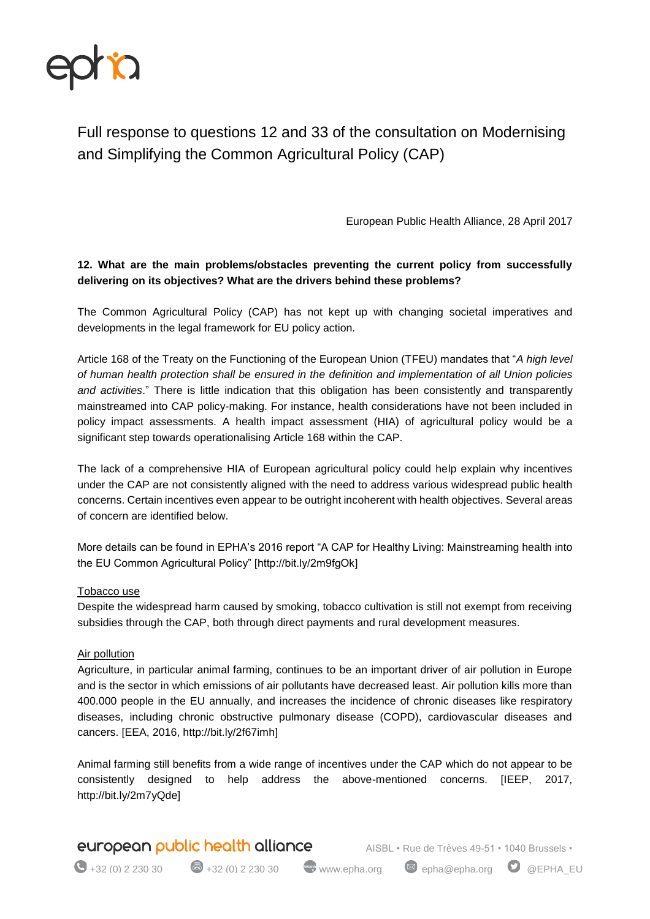

# Full response to questions 12 and 33 of the consultation on Modernising and Simplifying the Common Agricultural Policy (CAP)

European Public Health Alliance, 28 April 2017

## **12. What are the main problems/obstacles preventing the current policy from successfully delivering on its objectives? What are the drivers behind these problems?**

The Common Agricultural Policy (CAP) has not kept up with changing societal imperatives and developments in the legal framework for EU policy action.

Article 168 of the Treaty on the Functioning of the European Union (TFEU) mandates that "A high level of human health protection shall be ensured in the definition and implementation of all Union policies and activities." There is little indication that this obligation has been consistently and transparently mainstreamed into CAP policy-making. For instance, health considerations have not been included in policy impact assessments. A health impact assessment (HIA) of agricultural policy would be a significant step towards operationalising Article 168 within the CAP.

The lack of a comprehensive HIA of European agricultural policy could help explain why incentives under the CAP are not consistently aligned with the need to address various widespread public health concerns. Certain incentives even appear to be outright incoherent with health objectives. Several areas of concern are identified below.

More details can be found in EPHA's 2016 report "A CAP for Healthy Living: Mainstreaming health into the EU Common Agricultural Policy" [http://bit.ly/2m9fgOk]

#### Tobacco use

Despite the widespread harm caused by smoking, tobacco cultivation is still not exempt from receiving subsidies through the CAP, both through direct payments and rural development measures.

#### Air pollution

Agriculture, in particular animal farming, continues to be an important driver of air pollution in Europe and is the sector in which emissions of air pollutants have decreased least. Air pollution kills more than 400.000 people in the EU annually, and increases the incidence of chronic diseases like respiratory diseases, including chronic obstructive pulmonary disease (COPD), cardiovascular diseases and cancers. [EEA, 2016, http://bit.ly/2f67imh]

Animal farming still benefits from a wide range of incentives under the CAP which do not appear to be consistently designed to help address the above-mentioned concerns. [IEEP, 2017, http://bit.ly/2m7yQde]

# **european public health alliance** AISBL • Rue de Trèves 49-51 • 1040 Brussels •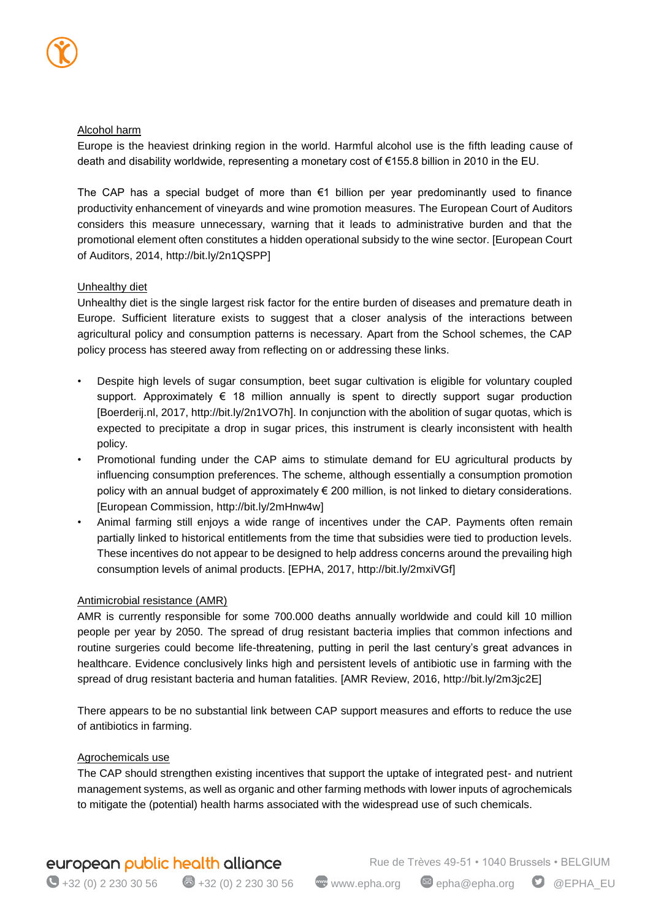#### Alcohol harm

Europe is the heaviest drinking region in the world. Harmful alcohol use is the fifth leading cause of death and disability worldwide, representing a monetary cost of €155.8 billion in 2010 in the EU.

The CAP has a special budget of more than  $\epsilon$ 1 billion per year predominantly used to finance productivity enhancement of vineyards and wine promotion measures. The European Court of Auditors considers this measure unnecessary, warning that it leads to administrative burden and that the promotional element often constitutes a hidden operational subsidy to the wine sector. [European Court of Auditors, 2014, http://bit.ly/2n1QSPP]

### Unhealthy diet

Unhealthy diet is the single largest risk factor for the entire burden of diseases and premature death in Europe. Sufficient literature exists to suggest that a closer analysis of the interactions between agricultural policy and consumption patterns is necessary. Apart from the School schemes, the CAP policy process has steered away from reflecting on or addressing these links.

- Despite high levels of sugar consumption, beet sugar cultivation is eligible for voluntary coupled support. Approximately  $\epsilon$  18 million annually is spent to directly support sugar production [Boerderij.nl, 2017, http://bit.ly/2n1VO7h]. In conjunction with the abolition of sugar quotas, which is expected to precipitate a drop in sugar prices, this instrument is clearly inconsistent with health policy.
- Promotional funding under the CAP aims to stimulate demand for EU agricultural products by influencing consumption preferences. The scheme, although essentially a consumption promotion policy with an annual budget of approximately € 200 million, is not linked to dietary considerations. [European Commission, http://bit.ly/2mHnw4w]
- Animal farming still enjoys a wide range of incentives under the CAP. Payments often remain partially linked to historical entitlements from the time that subsidies were tied to production levels. These incentives do not appear to be designed to help address concerns around the prevailing high consumption levels of animal products. [EPHA, 2017, http://bit.ly/2mxiVGf]

#### Antimicrobial resistance (AMR)

AMR is currently responsible for some 700.000 deaths annually worldwide and could kill 10 million people per year by 2050. The spread of drug resistant bacteria implies that common infections and routine surgeries could become life-threatening, putting in peril the last century's great advances in healthcare. Evidence conclusively links high and persistent levels of antibiotic use in farming with the spread of drug resistant bacteria and human fatalities. [AMR Review, 2016, http://bit.ly/2m3jc2E]

There appears to be no substantial link between CAP support measures and efforts to reduce the use of antibiotics in farming.

#### Agrochemicals use

The CAP should strengthen existing incentives that support the uptake of integrated pest- and nutrient management systems, as well as organic and other farming methods with lower inputs of agrochemicals to mitigate the (potential) health harms associated with the widespread use of such chemicals.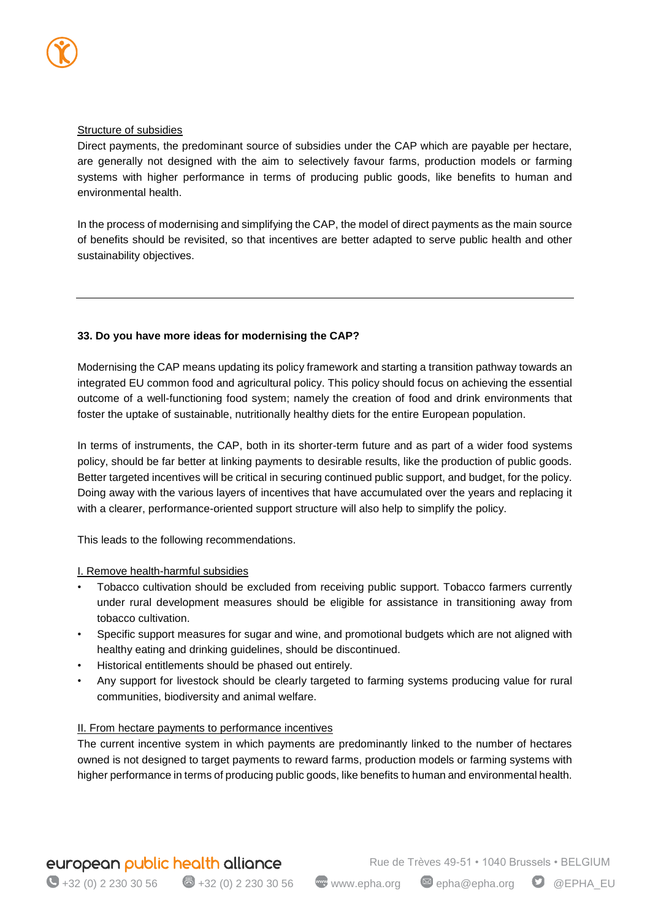#### Structure of subsidies

Direct payments, the predominant source of subsidies under the CAP which are payable per hectare, are generally not designed with the aim to selectively favour farms, production models or farming systems with higher performance in terms of producing public goods, like benefits to human and environmental health.

In the process of modernising and simplifying the CAP, the model of direct payments as the main source of benefits should be revisited, so that incentives are better adapted to serve public health and other sustainability objectives.

### **33. Do you have more ideas for modernising the CAP?**

Modernising the CAP means updating its policy framework and starting a transition pathway towards an integrated EU common food and agricultural policy. This policy should focus on achieving the essential outcome of a well-functioning food system; namely the creation of food and drink environments that foster the uptake of sustainable, nutritionally healthy diets for the entire European population.

In terms of instruments, the CAP, both in its shorter-term future and as part of a wider food systems policy, should be far better at linking payments to desirable results, like the production of public goods. Better targeted incentives will be critical in securing continued public support, and budget, for the policy. Doing away with the various layers of incentives that have accumulated over the years and replacing it with a clearer, performance-oriented support structure will also help to simplify the policy.

This leads to the following recommendations.

#### I. Remove health-harmful subsidies

- Tobacco cultivation should be excluded from receiving public support. Tobacco farmers currently under rural development measures should be eligible for assistance in transitioning away from tobacco cultivation.
- Specific support measures for sugar and wine, and promotional budgets which are not aligned with healthy eating and drinking guidelines, should be discontinued.
- Historical entitlements should be phased out entirely.
- Any support for livestock should be clearly targeted to farming systems producing value for rural communities, biodiversity and animal welfare.

#### II. From hectare payments to performance incentives

The current incentive system in which payments are predominantly linked to the number of hectares owned is not designed to target payments to reward farms, production models or farming systems with higher performance in terms of producing public goods, like benefits to human and environmental health.

# european public health alliance